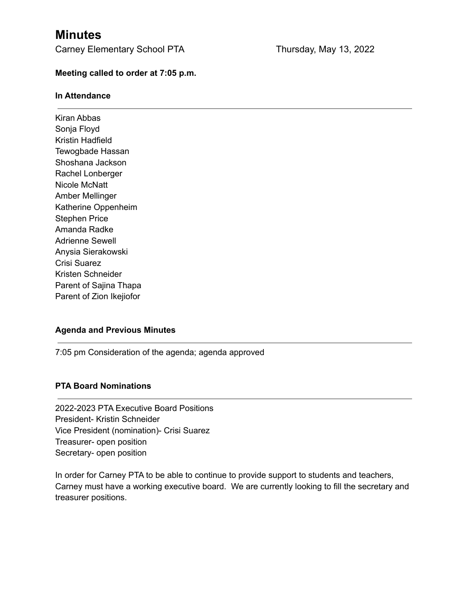# **Minutes**

Carney Elementary School PTA Thursday, May 13, 2022

### **Meeting called to order at 7:05 p.m.**

#### **In Attendance**

Kiran Abbas Sonja Floyd Kristin Hadfield Tewogbade Hassan Shoshana Jackson Rachel Lonberger Nicole McNatt Amber Mellinger Katherine Oppenheim Stephen Price Amanda Radke Adrienne Sewell Anysia Sierakowski Crisi Suarez Kristen Schneider Parent of Sajina Thapa Parent of Zion Ikejiofor

#### **Agenda and Previous Minutes**

7:05 pm Consideration of the agenda; agenda approved

## **PTA Board Nominations**

2022-2023 PTA Executive Board Positions President- Kristin Schneider Vice President (nomination)- Crisi Suarez Treasurer- open position Secretary- open position

In order for Carney PTA to be able to continue to provide support to students and teachers, Carney must have a working executive board. We are currently looking to fill the secretary and treasurer positions.